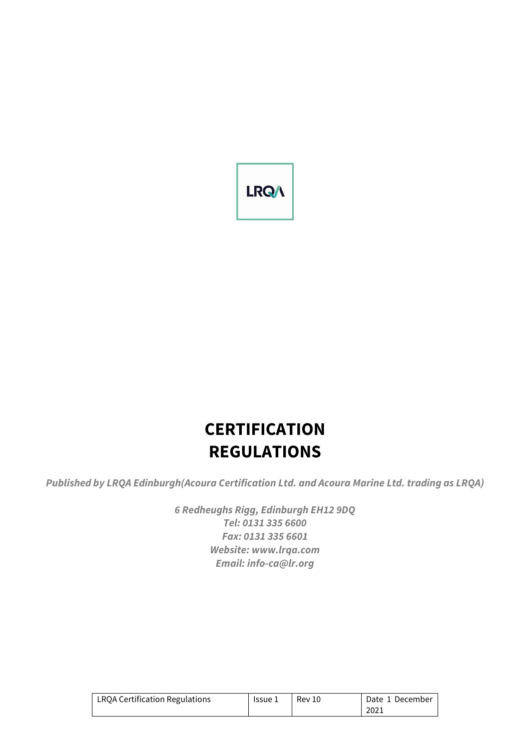

# **CERTIFICATION REGULATIONS**

*Published by LRQA Edinburgh(Acoura Certification Ltd. and Acoura Marine Ltd. trading as LRQA)*

*6 Redheughs Rigg, Edinburgh EH12 9DQ Tel: 0131 335 6600 Fax: 0131 335 6601 Website: www.lrqa.com Email: info-ca@lr.org*

| LRQA Certification Regulations | lssue 1 | Rev 10 | Date 1 December |
|--------------------------------|---------|--------|-----------------|
|                                |         |        | 2021            |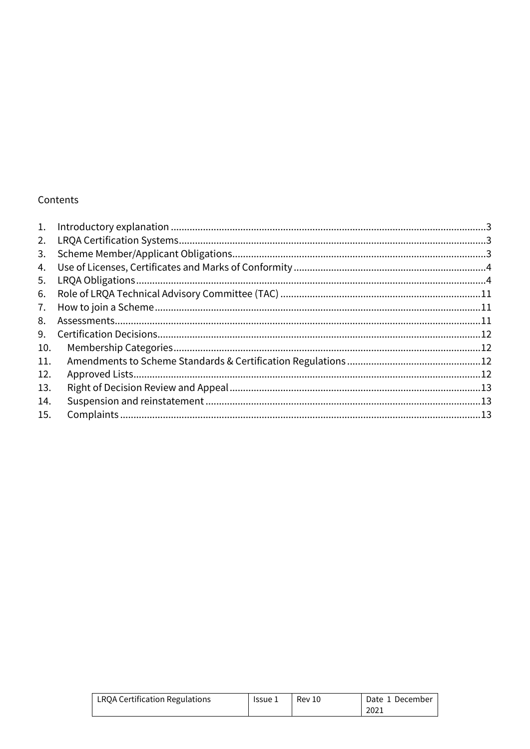### Contents

| 1.  |  |
|-----|--|
| 2.  |  |
| 3.  |  |
| 4.  |  |
| 5.  |  |
| 6.  |  |
| 7.  |  |
| 8.  |  |
| 9.  |  |
| 10. |  |
| 11. |  |
| 12. |  |
| 13. |  |
| 14. |  |
| 15. |  |
|     |  |

| LRQA Certification Regulations | lssue 1 | Rev 10 | Date 1 December |
|--------------------------------|---------|--------|-----------------|
|                                |         |        | 2021            |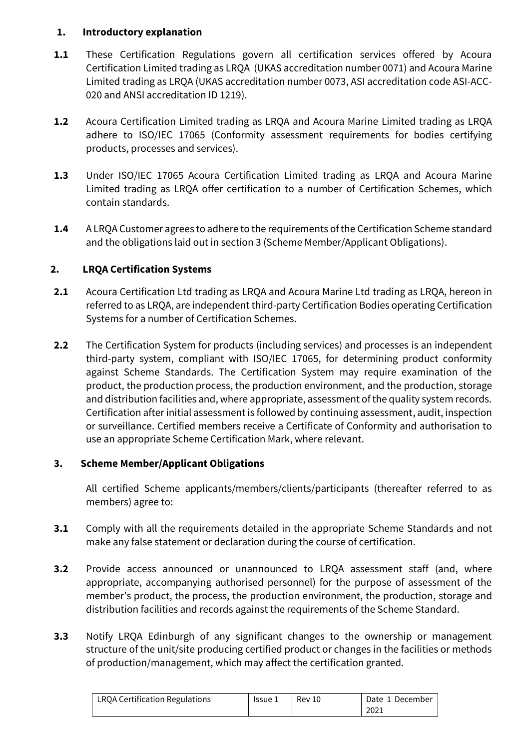### <span id="page-2-0"></span>**1. Introductory explanation**

- **1.1** These Certification Regulations govern all certification services offered by Acoura Certification Limited trading as LRQA (UKAS accreditation number 0071) and Acoura Marine Limited trading as LRQA (UKAS accreditation number 0073, ASI accreditation code ASI-ACC-020 and ANSI accreditation ID 1219).
- **1.2** Acoura Certification Limited trading as LRQA and Acoura Marine Limited trading as LRQA adhere to ISO/IEC 17065 (Conformity assessment requirements for bodies certifying products, processes and services).
- **1.3** Under ISO/IEC 17065 Acoura Certification Limited trading as LRQA and Acoura Marine Limited trading as LRQA offer certification to a number of Certification Schemes, which contain standards.
- **1.4** A LRQA Customer agrees to adhere to the requirements of the Certification Scheme standard and the obligations laid out in section 3 (Scheme Member/Applicant Obligations).

### <span id="page-2-1"></span>**2. LRQA Certification Systems**

- **2.1** Acoura Certification Ltd trading as LRQA and Acoura Marine Ltd trading as LRQA, hereon in referred to as LRQA, are independent third-party Certification Bodies operating Certification Systems for a number of Certification Schemes.
- **2.2** The Certification System for products (including services) and processes is an independent third-party system, compliant with ISO/IEC 17065, for determining product conformity against Scheme Standards. The Certification System may require examination of the product, the production process, the production environment, and the production, storage and distribution facilities and, where appropriate, assessment of the quality system records. Certification after initial assessment is followed by continuing assessment, audit, inspection or surveillance. Certified members receive a Certificate of Conformity and authorisation to use an appropriate Scheme Certification Mark, where relevant.

### <span id="page-2-2"></span>**3. Scheme Member/Applicant Obligations**

All certified Scheme applicants/members/clients/participants (thereafter referred to as members) agree to:

- **3.1** Comply with all the requirements detailed in the appropriate Scheme Standards and not make any false statement or declaration during the course of certification.
- **3.2** Provide access announced or unannounced to LRQA assessment staff (and, where appropriate, accompanying authorised personnel) for the purpose of assessment of the member's product, the process, the production environment, the production, storage and distribution facilities and records against the requirements of the Scheme Standard.
- **3.3** Notify LRQA Edinburgh of any significant changes to the ownership or management structure of the unit/site producing certified product or changes in the facilities or methods of production/management, which may affect the certification granted.

| LRQA Certification Regulations | lssue ì | Rev 10 | Date 1 December |
|--------------------------------|---------|--------|-----------------|
|                                |         |        | 2021            |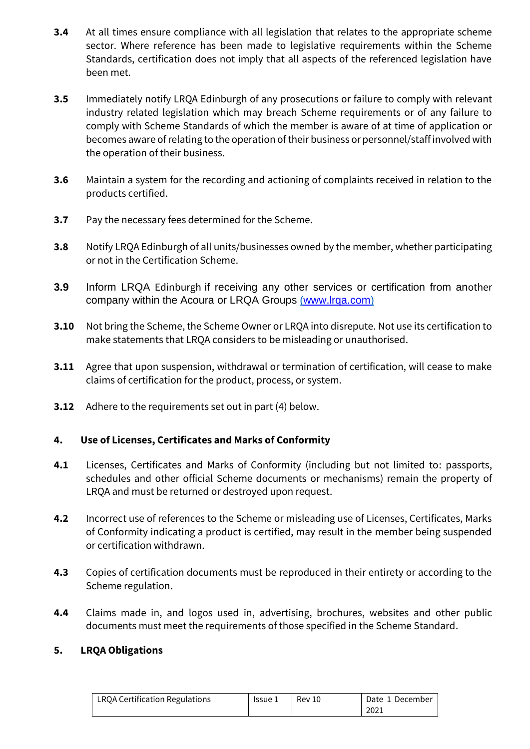- **3.4** At all times ensure compliance with all legislation that relates to the appropriate scheme sector. Where reference has been made to legislative requirements within the Scheme Standards, certification does not imply that all aspects of the referenced legislation have been met.
- **3.5** Immediately notify LRQA Edinburgh of any prosecutions or failure to comply with relevant industry related legislation which may breach Scheme requirements or of any failure to comply with Scheme Standards of which the member is aware of at time of application or becomes aware ofrelating to the operation of their business or personnel/staff involved with the operation of their business.
- **3.6** Maintain a system for the recording and actioning of complaints received in relation to the products certified.
- **3.7** Pay the necessary fees determined for the Scheme.
- **3.8** Notify LRQA Edinburgh of all units/businesses owned by the member, whether participating or not in the Certification Scheme.
- **3.9** Inform LRQA Edinburgh if receiving any other services or certification from another company within the Acoura or LRQA Groups [\(www.lrqa.com\)](http://www.lrqa.com/)
- **3.10** Not bring the Scheme, the Scheme Owner or LRQA into disrepute. Not use its certification to make statements that LRQA considers to be misleading or unauthorised.
- **3.11** Agree that upon suspension, withdrawal or termination of certification, will cease to make claims of certification for the product, process, or system.
- **3.12** Adhere to the requirements set out in part (4) below.

#### <span id="page-3-0"></span>**4. Use of Licenses, Certificates and Marks of Conformity**

- **4.1** Licenses, Certificates and Marks of Conformity (including but not limited to: passports, schedules and other official Scheme documents or mechanisms) remain the property of LRQA and must be returned or destroyed upon request.
- **4.2** Incorrect use of references to the Scheme or misleading use of Licenses, Certificates, Marks of Conformity indicating a product is certified, may result in the member being suspended or certification withdrawn.
- **4.3** Copies of certification documents must be reproduced in their entirety or according to the Scheme regulation.
- **4.4** Claims made in, and logos used in, advertising, brochures, websites and other public documents must meet the requirements of those specified in the Scheme Standard.

#### <span id="page-3-1"></span>**5. LRQA Obligations**

| LRQA Certification Regulations | Issue 1 | Rev 10 | Date 1 December |
|--------------------------------|---------|--------|-----------------|
|                                |         |        | 2021            |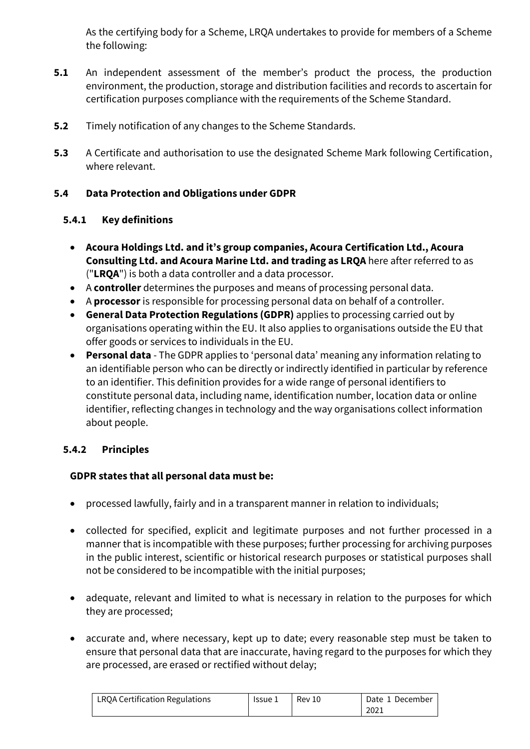As the certifying body for a Scheme, LRQA undertakes to provide for members of a Scheme the following:

- **5.1** An independent assessment of the member's product the process, the production environment, the production, storage and distribution facilities and records to ascertain for certification purposes compliance with the requirements of the Scheme Standard.
- **5.2** Timely notification of any changes to the Scheme Standards.
- **5.3** A Certificate and authorisation to use the designated Scheme Mark following Certification, where relevant.

### **5.4 Data Protection and Obligations under GDPR**

### **5.4.1 Key definitions**

- **Acoura Holdings Ltd. and it's group companies, Acoura Certification Ltd., Acoura Consulting Ltd. and Acoura Marine Ltd. and trading as LRQA** here after referred to as ("**LRQA**") is both a data controller and a data processor.
- A **controller** determines the purposes and means of processing personal data.
- A **processor** is responsible for processing personal data on behalf of a controller.
- **General Data Protection Regulations (GDPR)** applies to processing carried out by organisations operating within the EU. It also applies to organisations outside the EU that offer goods or services to individuals in the EU.
- **Personal data** The GDPR applies to 'personal data' meaning any information relating to an identifiable person who can be directly or indirectly identified in particular by reference to an identifier. This definition provides for a wide range of personal identifiers to constitute personal data, including name, identification number, location data or online identifier, reflecting changes in technology and the way organisations collect information about people.

### **5.4.2 Principles**

### **GDPR states that all personal data must be:**

- processed lawfully, fairly and in a transparent manner in relation to individuals;
- collected for specified, explicit and legitimate purposes and not further processed in a manner that is incompatible with these purposes; further processing for archiving purposes in the public interest, scientific or historical research purposes or statistical purposes shall not be considered to be incompatible with the initial purposes;
- adequate, relevant and limited to what is necessary in relation to the purposes for which they are processed;
- accurate and, where necessary, kept up to date; every reasonable step must be taken to ensure that personal data that are inaccurate, having regard to the purposes for which they are processed, are erased or rectified without delay;

| LRQA Certification Regulations | lssue 1 | Rev 10 | Date 1 December |
|--------------------------------|---------|--------|-----------------|
|                                |         |        | 2021            |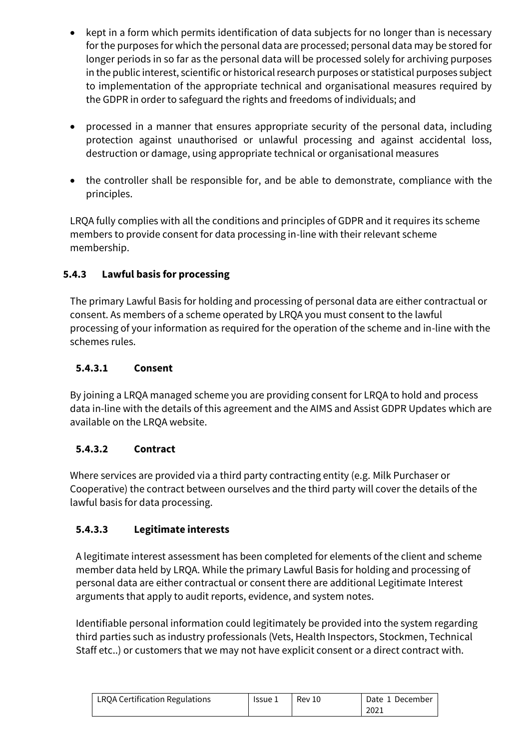- kept in a form which permits identification of data subjects for no longer than is necessary for the purposes for which the personal data are processed; personal data may be stored for longer periods in so far as the personal data will be processed solely for archiving purposes in the public interest, scientific or historical research purposes or statistical purposes subject to implementation of the appropriate technical and organisational measures required by the GDPR in order to safeguard the rights and freedoms of individuals; and
- processed in a manner that ensures appropriate security of the personal data, including protection against unauthorised or unlawful processing and against accidental loss, destruction or damage, using appropriate technical or organisational measures
- the controller shall be responsible for, and be able to demonstrate, compliance with the principles.

LRQA fully complies with all the conditions and principles of GDPR and it requires its scheme members to provide consent for data processing in-line with their relevant scheme membership.

# **5.4.3 Lawful basis for processing**

The primary Lawful Basis for holding and processing of personal data are either contractual or consent. As members of a scheme operated by LRQA you must consent to the lawful processing of your information as required for the operation of the scheme and in-line with the schemes rules.

# **5.4.3.1 Consent**

By joining a LRQA managed scheme you are providing consent for LRQA to hold and process data in-line with the details of this agreement and the AIMS and Assist GDPR Updates which are available on the LRQA website.

# **5.4.3.2 Contract**

Where services are provided via a third party contracting entity (e.g. Milk Purchaser or Cooperative) the contract between ourselves and the third party will cover the details of the lawful basis for data processing.

# **5.4.3.3 Legitimate interests**

A legitimate interest assessment has been completed for elements of the client and scheme member data held by LRQA. While the primary Lawful Basis for holding and processing of personal data are either contractual or consent there are additional Legitimate Interest arguments that apply to audit reports, evidence, and system notes.

Identifiable personal information could legitimately be provided into the system regarding third parties such as industry professionals (Vets, Health Inspectors, Stockmen, Technical Staff etc..) or customers that we may not have explicit consent or a direct contract with.

| LRQA Certification Regulations | Issue 1 | Rev 10 | Date 1 December |
|--------------------------------|---------|--------|-----------------|
|                                |         |        | 2021            |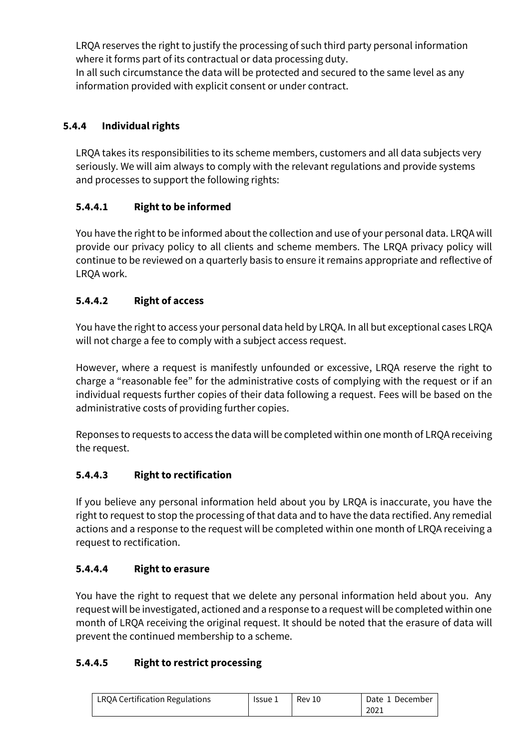LRQA reserves the right to justify the processing of such third party personal information where it forms part of its contractual or data processing duty. In all such circumstance the data will be protected and secured to the same level as any information provided with explicit consent or under contract.

# **5.4.4 Individual rights**

LRQA takes its responsibilities to its scheme members, customers and all data subjects very seriously. We will aim always to comply with the relevant regulations and provide systems and processes to support the following rights:

# **5.4.4.1 Right to be informed**

You have the right to be informed about the collection and use of your personal data. LRQA will provide our privacy policy to all clients and scheme members. The LRQA privacy policy will continue to be reviewed on a quarterly basis to ensure it remains appropriate and reflective of LRQA work.

# **5.4.4.2 Right of access**

You have the right to access your personal data held by LRQA. In all but exceptional cases LRQA will not charge a fee to comply with a subject access request.

However, where a request is manifestly unfounded or excessive, LRQA reserve the right to charge a "reasonable fee" for the administrative costs of complying with the request or if an individual requests further copies of their data following a request. Fees will be based on the administrative costs of providing further copies.

Reponses to requests to access the data will be completed within one month of LRQA receiving the request.

# **5.4.4.3 Right to rectification**

If you believe any personal information held about you by LRQA is inaccurate, you have the right to request to stop the processing of that data and to have the data rectified. Any remedial actions and a response to the request will be completed within one month of LRQA receiving a request to rectification.

# **5.4.4.4 Right to erasure**

You have the right to request that we delete any personal information held about you. Any request will be investigated, actioned and a response to a request will be completed within one month of LRQA receiving the original request. It should be noted that the erasure of data will prevent the continued membership to a scheme.

# **5.4.4.5 Right to restrict processing**

| LRQA Certification Regulations | lssue 1 | Rev 10 | Date 1 December |
|--------------------------------|---------|--------|-----------------|
|                                |         |        | 2021            |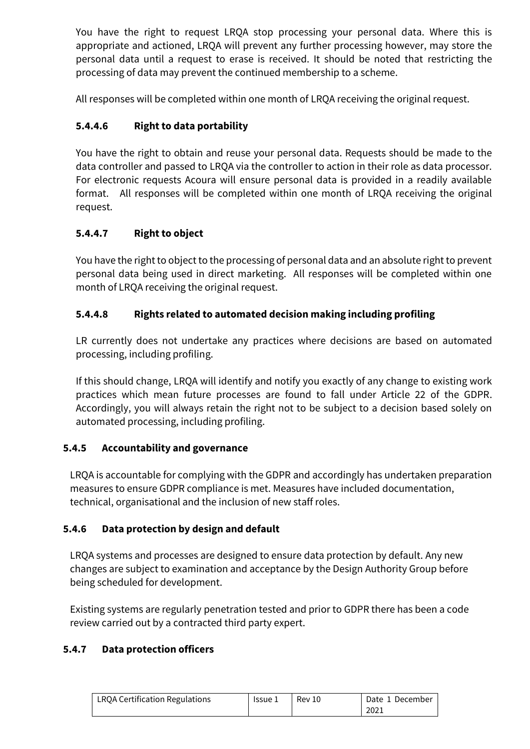You have the right to request LRQA stop processing your personal data. Where this is appropriate and actioned, LRQA will prevent any further processing however, may store the personal data until a request to erase is received. It should be noted that restricting the processing of data may prevent the continued membership to a scheme.

All responses will be completed within one month of LRQA receiving the original request.

# **5.4.4.6 Right to data portability**

You have the right to obtain and reuse your personal data. Requests should be made to the data controller and passed to LRQA via the controller to action in their role as data processor. For electronic requests Acoura will ensure personal data is provided in a readily available format. All responses will be completed within one month of LRQA receiving the original request.

# **5.4.4.7 Right to object**

You have the right to object to the processing of personal data and an absolute right to prevent personal data being used in direct marketing. All responses will be completed within one month of LRQA receiving the original request.

# **5.4.4.8 Rights related to automated decision making including profiling**

LR currently does not undertake any practices where decisions are based on automated processing, including profiling.

If this should change, LRQA will identify and notify you exactly of any change to existing work practices which mean future processes are found to fall under Article 22 of the GDPR. Accordingly, you will always retain the right not to be subject to a decision based solely on automated processing, including profiling.

# **5.4.5 Accountability and governance**

LRQA is accountable for complying with the GDPR and accordingly has undertaken preparation measures to ensure GDPR compliance is met. Measures have included documentation, technical, organisational and the inclusion of new staff roles.

# **5.4.6 Data protection by design and default**

LRQA systems and processes are designed to ensure data protection by default. Any new changes are subject to examination and acceptance by the Design Authority Group before being scheduled for development.

Existing systems are regularly penetration tested and prior to GDPR there has been a code review carried out by a contracted third party expert.

# **5.4.7 Data protection officers**

| LRQA Certification Regulations | Issue 1 | Rev 10 | Date 1 December |
|--------------------------------|---------|--------|-----------------|
|                                |         |        | 2021            |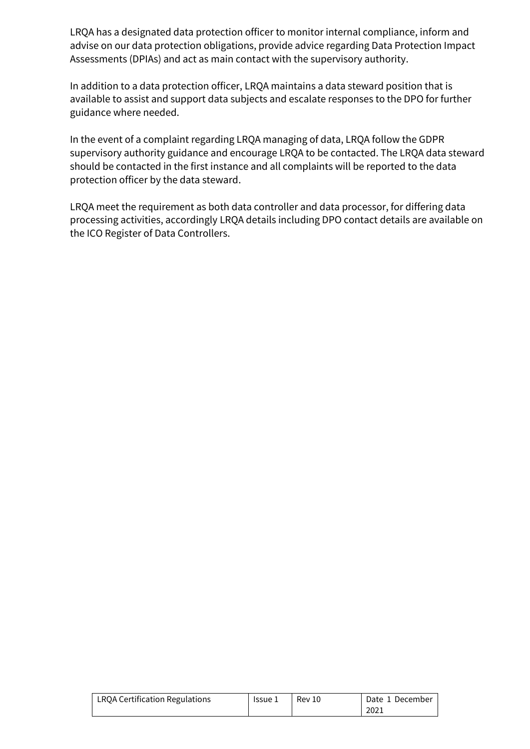LRQA has a designated data protection officer to monitor internal compliance, inform and advise on our data protection obligations, provide advice regarding Data Protection Impact Assessments (DPIAs) and act as main contact with the supervisory authority.

In addition to a data protection officer, LRQA maintains a data steward position that is available to assist and support data subjects and escalate responses to the DPO for further guidance where needed.

In the event of a complaint regarding LRQA managing of data, LRQA follow the GDPR supervisory authority guidance and encourage LRQA to be contacted. The LRQA data steward should be contacted in the first instance and all complaints will be reported to the data protection officer by the data steward.

LRQA meet the requirement as both data controller and data processor, for differing data processing activities, accordingly LRQA details including DPO contact details are available on the ICO Register of Data Controllers.

| LRQA Certification Regulations | lssue 1 | Rev 10 | Date 1 December |
|--------------------------------|---------|--------|-----------------|
|                                |         |        | 2021            |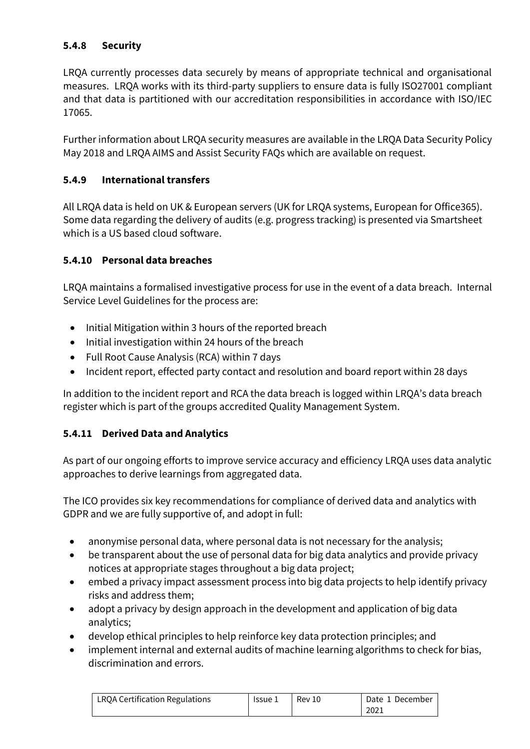# **5.4.8 Security**

LRQA currently processes data securely by means of appropriate technical and organisational measures. LRQA works with its third-party suppliers to ensure data is fully ISO27001 compliant and that data is partitioned with our accreditation responsibilities in accordance with ISO/IEC 17065.

Further information about LRQA security measures are available in the LRQA Data Security Policy May 2018 and LRQA AIMS and Assist Security FAQs which are available on request.

### **5.4.9 International transfers**

All LRQA data is held on UK & European servers (UK for LRQA systems, European for Office365). Some data regarding the delivery of audits (e.g. progress tracking) is presented via Smartsheet which is a US based cloud software.

### **5.4.10 Personal data breaches**

LRQA maintains a formalised investigative process for use in the event of a data breach. Internal Service Level Guidelines for the process are:

- Initial Mitigation within 3 hours of the reported breach
- Initial investigation within 24 hours of the breach
- Full Root Cause Analysis (RCA) within 7 days
- Incident report, effected party contact and resolution and board report within 28 days

In addition to the incident report and RCA the data breach is logged within LRQA's data breach register which is part of the groups accredited Quality Management System.

### **5.4.11 Derived Data and Analytics**

As part of our ongoing efforts to improve service accuracy and efficiency LRQA uses data analytic approaches to derive learnings from aggregated data.

The ICO provides six key recommendations for compliance of derived data and analytics with GDPR and we are fully supportive of, and adopt in full:

- anonymise personal data, where personal data is not necessary for the analysis;
- be transparent about the use of personal data for big data analytics and provide privacy notices at appropriate stages throughout a big data project;
- embed a privacy impact assessment process into big data projects to help identify privacy risks and address them;
- adopt a privacy by design approach in the development and application of big data analytics;
- develop ethical principles to help reinforce key data protection principles; and
- implement internal and external audits of machine learning algorithms to check for bias, discrimination and errors.

| LRQA Certification Regulations | Issue 1 | Rev 10 | Date 1 December |
|--------------------------------|---------|--------|-----------------|
|                                |         |        | 2021            |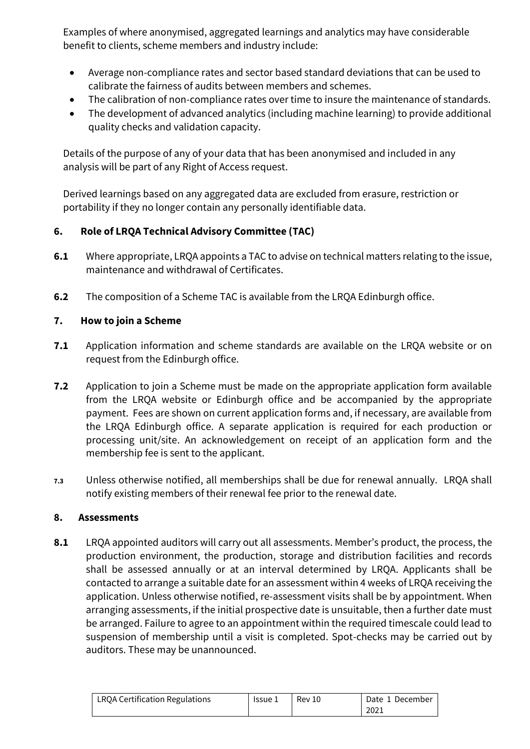Examples of where anonymised, aggregated learnings and analytics may have considerable benefit to clients, scheme members and industry include:

- Average non-compliance rates and sector based standard deviations that can be used to calibrate the fairness of audits between members and schemes.
- The calibration of non-compliance rates over time to insure the maintenance of standards.
- The development of advanced analytics (including machine learning) to provide additional quality checks and validation capacity.

Details of the purpose of any of your data that has been anonymised and included in any analysis will be part of any Right of Access request.

Derived learnings based on any aggregated data are excluded from erasure, restriction or portability if they no longer contain any personally identifiable data.

# <span id="page-10-0"></span>**6. Role of LRQA Technical Advisory Committee (TAC)**

- **6.1** Where appropriate, LRQA appoints a TAC to advise on technical matters relating to the issue, maintenance and withdrawal of Certificates.
- **6.2** The composition of a Scheme TAC is available from the LRQA Edinburgh office.

### <span id="page-10-1"></span>**7. How to join a Scheme**

- **7.1** Application information and scheme standards are available on the LRQA website or on request from the Edinburgh office.
- **7.2** Application to join a Scheme must be made on the appropriate application form available from the LRQA website or Edinburgh office and be accompanied by the appropriate payment. Fees are shown on current application forms and, if necessary, are available from the LRQA Edinburgh office. A separate application is required for each production or processing unit/site. An acknowledgement on receipt of an application form and the membership fee is sent to the applicant.
- **7.3** Unless otherwise notified, all memberships shall be due for renewal annually. LRQA shall notify existing members of their renewal fee prior to the renewal date.

### <span id="page-10-2"></span>**8. Assessments**

**8.1** LRQA appointed auditors will carry out all assessments. Member's product, the process, the production environment, the production, storage and distribution facilities and records shall be assessed annually or at an interval determined by LRQA. Applicants shall be contacted to arrange a suitable date for an assessment within 4 weeks of LRQA receiving the application. Unless otherwise notified, re-assessment visits shall be by appointment. When arranging assessments, if the initial prospective date is unsuitable, then a further date must be arranged. Failure to agree to an appointment within the required timescale could lead to suspension of membership until a visit is completed. Spot-checks may be carried out by auditors. These may be unannounced.

| LRQA Certification Regulations | lssue 1 | Rev 10 | Date 1 December |
|--------------------------------|---------|--------|-----------------|
|                                |         |        | 2021            |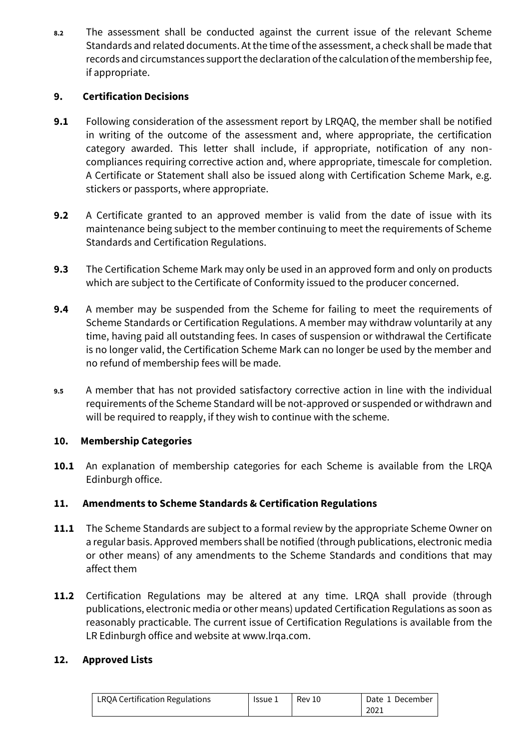**8.2** The assessment shall be conducted against the current issue of the relevant Scheme Standards and related documents. At the time of the assessment, a check shall be made that records and circumstances support the declaration of the calculation of the membership fee, if appropriate.

### <span id="page-11-0"></span>**9. Certification Decisions**

- **9.1** Following consideration of the assessment report by LRQAQ, the member shall be notified in writing of the outcome of the assessment and, where appropriate, the certification category awarded. This letter shall include, if appropriate, notification of any noncompliances requiring corrective action and, where appropriate, timescale for completion. A Certificate or Statement shall also be issued along with Certification Scheme Mark, e.g. stickers or passports, where appropriate.
- **9.2** A Certificate granted to an approved member is valid from the date of issue with its maintenance being subject to the member continuing to meet the requirements of Scheme Standards and Certification Regulations.
- **9.3** The Certification Scheme Mark may only be used in an approved form and only on products which are subject to the Certificate of Conformity issued to the producer concerned.
- **9.4** A member may be suspended from the Scheme for failing to meet the requirements of Scheme Standards or Certification Regulations. A member may withdraw voluntarily at any time, having paid all outstanding fees. In cases of suspension or withdrawal the Certificate is no longer valid, the Certification Scheme Mark can no longer be used by the member and no refund of membership fees will be made.
- **9.5** A member that has not provided satisfactory corrective action in line with the individual requirements of the Scheme Standard will be not-approved or suspended or withdrawn and will be required to reapply, if they wish to continue with the scheme.

### <span id="page-11-1"></span>**10. Membership Categories**

**10.1** An explanation of membership categories for each Scheme is available from the LRQA Edinburgh office.

# <span id="page-11-2"></span>**11. Amendments to Scheme Standards & Certification Regulations**

- **11.1** The Scheme Standards are subject to a formal review by the appropriate Scheme Owner on a regular basis. Approved members shall be notified (through publications, electronic media or other means) of any amendments to the Scheme Standards and conditions that may affect them
- **11.2** Certification Regulations may be altered at any time. LRQA shall provide (through publications, electronic media or other means) updated Certification Regulations as soon as reasonably practicable. The current issue of Certification Regulations is available from the LR Edinburgh office and website at www.lrqa.com.

### <span id="page-11-3"></span>**12. Approved Lists**

| LRQA Certification Regulations | lssue 1 | Rev 10 | Date 1 December |
|--------------------------------|---------|--------|-----------------|
|                                |         |        | 2021            |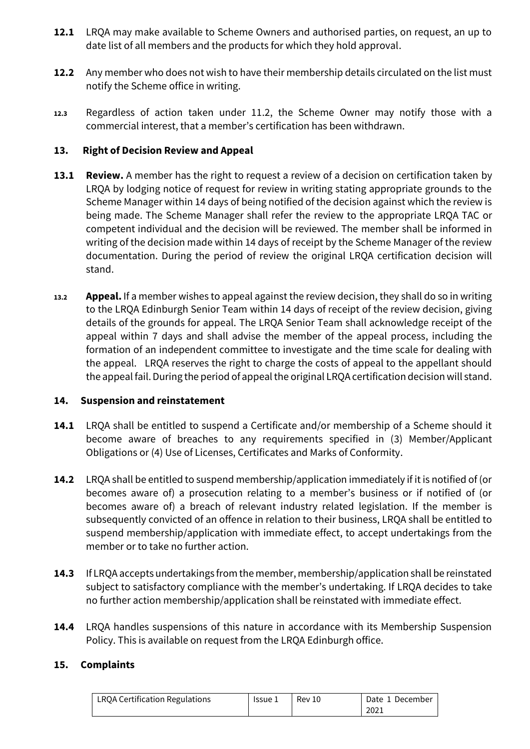- **12.1** LRQA may make available to Scheme Owners and authorised parties, on request, an up to date list of all members and the products for which they hold approval.
- **12.2** Any member who does not wish to have their membership details circulated on the list must notify the Scheme office in writing.
- **12.3** Regardless of action taken under 11.2, the Scheme Owner may notify those with a commercial interest, that a member's certification has been withdrawn.

#### <span id="page-12-0"></span>**13. Right of Decision Review and Appeal**

- **13.1 Review.** A member has the right to request a review of a decision on certification taken by LRQA by lodging notice of request for review in writing stating appropriate grounds to the Scheme Manager within 14 days of being notified of the decision against which the review is being made. The Scheme Manager shall refer the review to the appropriate LRQA TAC or competent individual and the decision will be reviewed. The member shall be informed in writing of the decision made within 14 days of receipt by the Scheme Manager of the review documentation. During the period of review the original LRQA certification decision will stand.
- **13.2 Appeal.** If a member wishes to appeal against the review decision, they shall do so in writing to the LRQA Edinburgh Senior Team within 14 days of receipt of the review decision, giving details of the grounds for appeal. The LRQA Senior Team shall acknowledge receipt of the appeal within 7 days and shall advise the member of the appeal process, including the formation of an independent committee to investigate and the time scale for dealing with the appeal. LRQA reserves the right to charge the costs of appeal to the appellant should the appeal fail. During the period of appeal the original LRQA certification decision will stand.

#### <span id="page-12-1"></span>**14. Suspension and reinstatement**

- **14.1** LRQA shall be entitled to suspend a Certificate and/or membership of a Scheme should it become aware of breaches to any requirements specified in (3) Member/Applicant Obligations or (4) Use of Licenses, Certificates and Marks of Conformity.
- **14.2** LRQA shall be entitled to suspend membership/application immediately if it is notified of (or becomes aware of) a prosecution relating to a member's business or if notified of (or becomes aware of) a breach of relevant industry related legislation. If the member is subsequently convicted of an offence in relation to their business, LRQA shall be entitled to suspend membership/application with immediate effect, to accept undertakings from the member or to take no further action.
- **14.3** If LRQA accepts undertakings from the member, membership/application shall be reinstated subject to satisfactory compliance with the member's undertaking. If LRQA decides to take no further action membership/application shall be reinstated with immediate effect.
- **14.4** LRQA handles suspensions of this nature in accordance with its Membership Suspension Policy. This is available on request from the LRQA Edinburgh office.

#### <span id="page-12-2"></span>**15. Complaints**

| LRQA Certification Regulations | Issue 1 | Rev 10 | Date 1 December |
|--------------------------------|---------|--------|-----------------|
|                                |         |        | 2021            |